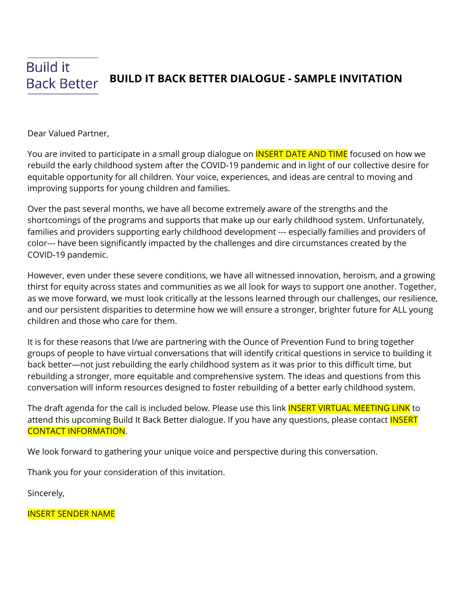## **Build it BUILD IT BACK BETTER DIALOGUE - SAMPLE INVITATION Back Better**

Dear Valued Partner,

You are invited to participate in a small group dialogue on **INSERT DATE AND TIME** focused on how we rebuild the early childhood system after the COVID-19 pandemic and in light of our collective desire for equitable opportunity for all children. Your voice, experiences, and ideas are central to moving and improving supports for young children and families.

Over the past several months, we have all become extremely aware of the strengths and the shortcomings of the programs and supports that make up our early childhood system. Unfortunately, families and providers supporting early childhood development --- especially families and providers of color--- have been significantly impacted by the challenges and dire circumstances created by the COVID-19 pandemic.

However, even under these severe conditions, we have all witnessed innovation, heroism, and a growing thirst for equity across states and communities as we all look for ways to support one another. Together, as we move forward, we must look critically at the lessons learned through our challenges, our resilience, and our persistent disparities to determine how we will ensure a stronger, brighter future for ALL young children and those who care for them.

It is for these reasons that I/we are partnering with the Ounce of Prevention Fund to bring together groups of people to have virtual conversations that will identify critical questions in service to building it back better—not just rebuilding the early childhood system as it was prior to this difficult time, but rebuilding a stronger, more equitable and comprehensive system. The ideas and questions from this conversation will inform resources designed to foster rebuilding of a better early childhood system.

The draft agenda for the call is included below. Please use this link **INSERT VIRTUAL MEETING LINK** to attend this upcoming Build It Back Better dialogue. If you have any questions, please contact **INSERT** CONTACT INFORMATION.

We look forward to gathering your unique voice and perspective during this conversation.

Thank you for your consideration of this invitation.

Sincerely,

INSERT SENDER NAME